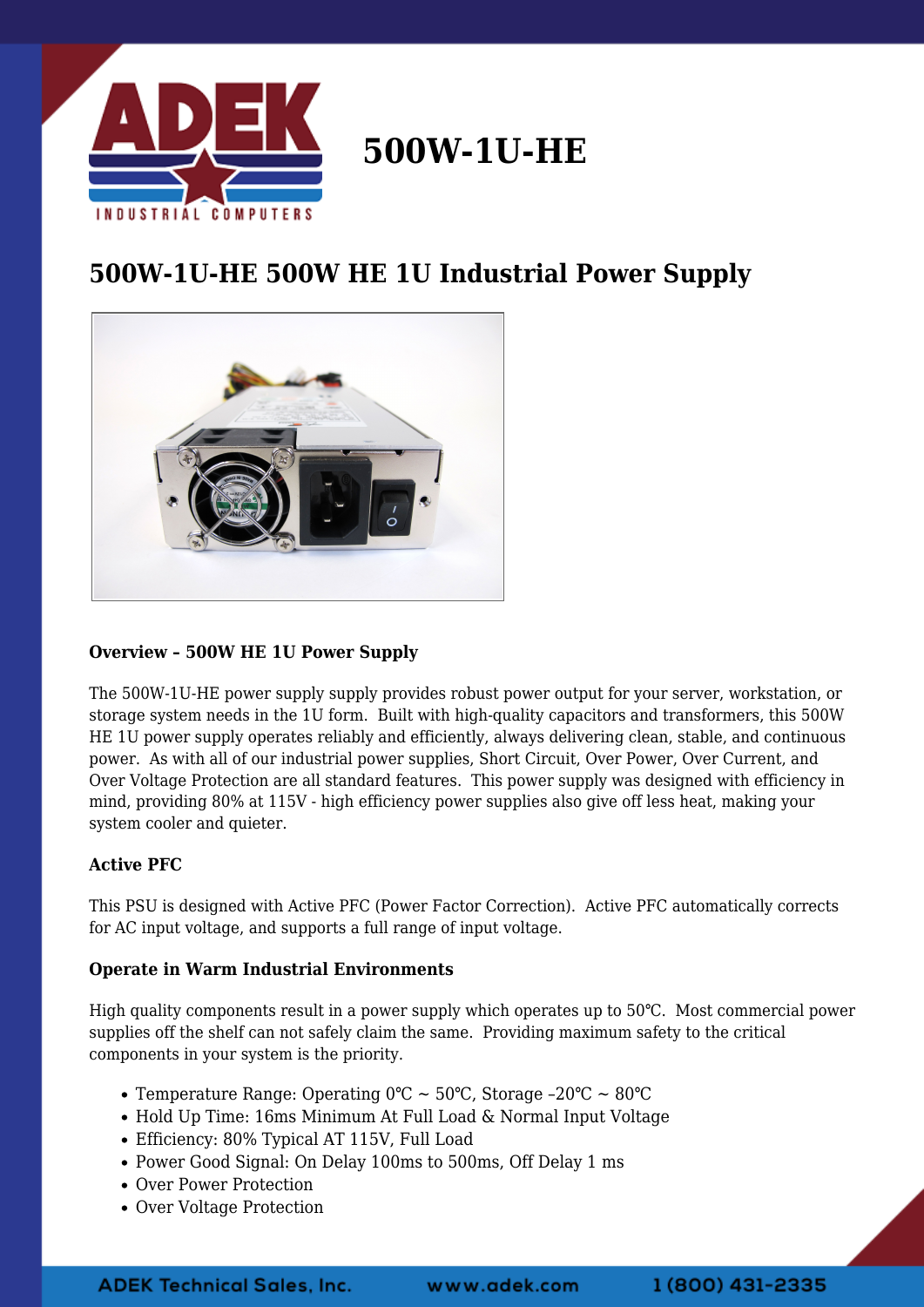

# **500W-1U-HE**

# **500W-1U-HE 500W HE 1U Industrial Power Supply**



## **Overview – 500W HE 1U Power Supply**

The 500W-1U-HE power supply supply provides robust power output for your server, workstation, or storage system needs in the 1U form. Built with high-quality capacitors and transformers, this 500W HE 1U power supply operates reliably and efficiently, always delivering clean, stable, and continuous power. As with all of our industrial power supplies, Short Circuit, Over Power, Over Current, and Over Voltage Protection are all standard features. This power supply was designed with efficiency in mind, providing 80% at 115V - high efficiency power supplies also give off less heat, making your system cooler and quieter.

### **Active PFC**

This PSU is designed with Active PFC (Power Factor Correction). Active PFC automatically corrects for AC input voltage, and supports a full range of input voltage.

### **Operate in Warm Industrial Environments**

High quality components result in a power supply which operates up to 50℃. Most commercial power supplies off the shelf can not safely claim the same. Providing maximum safety to the critical components in your system is the priority.

- Temperature Range: Operating 0℃ ~ 50℃, Storage –20℃ ~ 80℃
- Hold Up Time: 16ms Minimum At Full Load & Normal Input Voltage
- Efficiency: 80% Typical AT 115V, Full Load
- Power Good Signal: On Delay 100ms to 500ms, Off Delay 1 ms
- Over Power Protection
- Over Voltage Protection